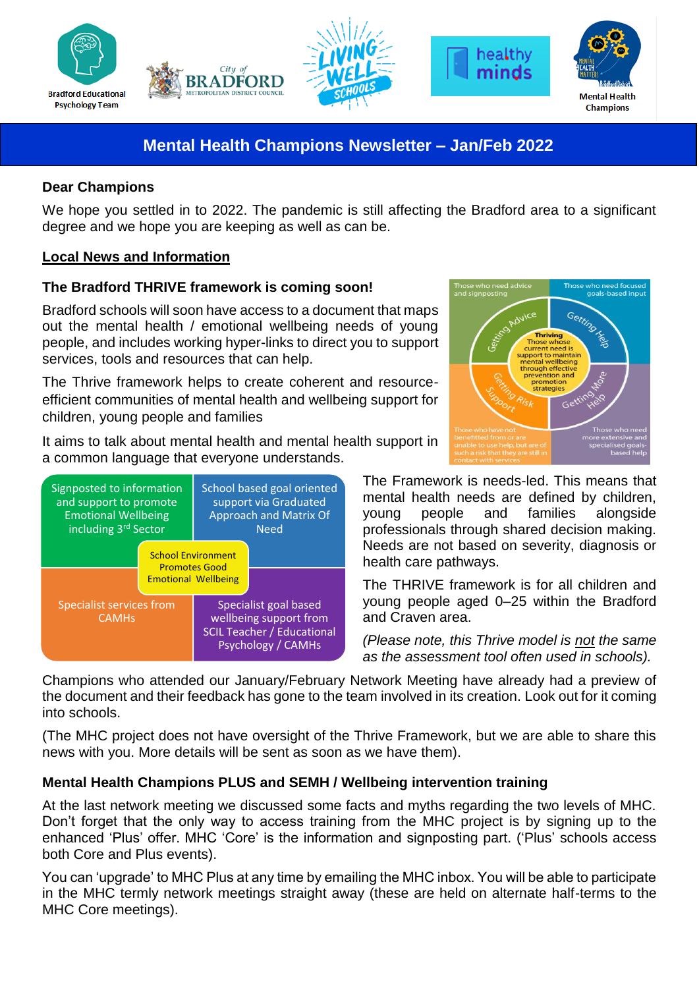





# **Mental Health Champions Newsletter – Jan/Feb 2022**

### **Dear Champions**

We hope you settled in to 2022. The pandemic is still affecting the Bradford area to a significant degree and we hope you are keeping as well as can be.

# **Local News and Information**

# **The Bradford THRIVE framework is coming soon!**

Bradford schools will soon have access to a document that maps out the mental health / emotional wellbeing needs of young people, and includes working hyper-links to direct you to support services, tools and resources that can help.

The Thrive framework helps to create coherent and resourceefficient communities of mental health and wellbeing support for children, young people and families

It aims to talk about mental health and mental health support in a common language that everyone understands.





The Framework is needs-led. This means that mental health needs are defined by children, young people and families alongside professionals through shared decision making. Needs are not based on severity, diagnosis or health care pathways.

healthy minds

The THRIVE framework is for all children and young people aged 0–25 within the Bradford and Craven area.

*(Please note, this Thrive model is not the same as the assessment tool often used in schools).*

Champions who attended our January/February Network Meeting have already had a preview of the document and their feedback has gone to the team involved in its creation. Look out for it coming into schools.

(The MHC project does not have oversight of the Thrive Framework, but we are able to share this news with you. More details will be sent as soon as we have them).

# **Mental Health Champions PLUS and SEMH / Wellbeing intervention training**

At the last network meeting we discussed some facts and myths regarding the two levels of MHC. Don't forget that the only way to access training from the MHC project is by signing up to the enhanced 'Plus' offer. MHC 'Core' is the information and signposting part. ('Plus' schools access both Core and Plus events).

You can 'upgrade' to MHC Plus at any time by emailing the MHC inbox. You will be able to participate in the MHC termly network meetings straight away (these are held on alternate half-terms to the MHC Core meetings).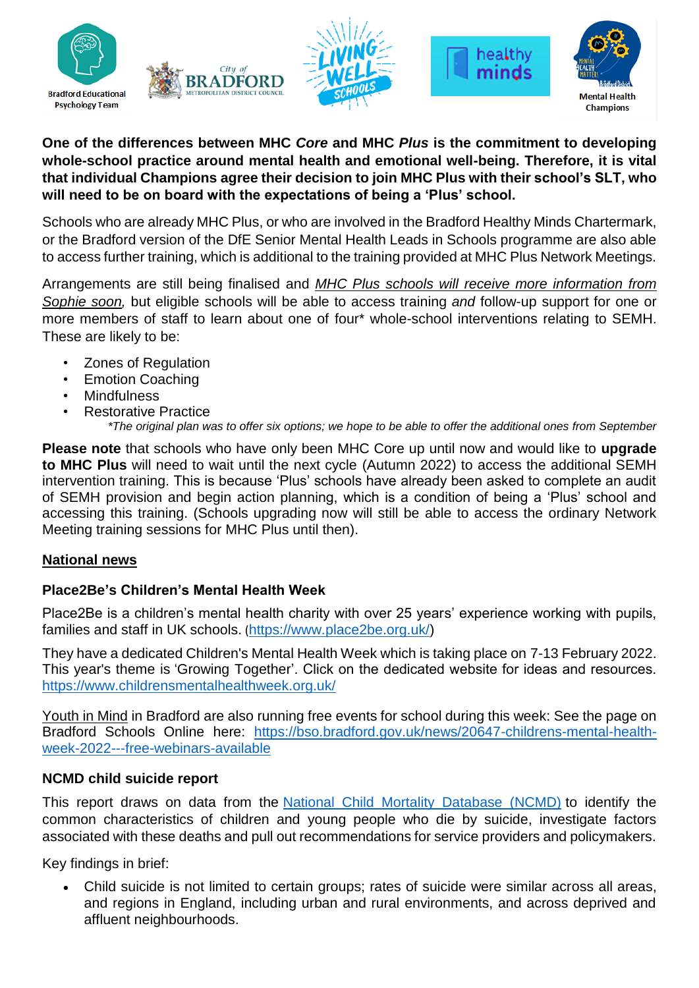







### **One of the differences between MHC** *Core* **and MHC** *Plus* **is the commitment to developing whole-school practice around mental health and emotional well-being. Therefore, it is vital that individual Champions agree their decision to join MHC Plus with their school's SLT, who will need to be on board with the expectations of being a 'Plus' school.**

Schools who are already MHC Plus, or who are involved in the Bradford Healthy Minds Chartermark, or the Bradford version of the DfE Senior Mental Health Leads in Schools programme are also able to access further training, which is additional to the training provided at MHC Plus Network Meetings.

Arrangements are still being finalised and *MHC Plus schools will receive more information from Sophie soon,* but eligible schools will be able to access training *and* follow-up support for one or more members of staff to learn about one of four\* whole-school interventions relating to SEMH. These are likely to be:

- Zones of Regulation
- Emotion Coaching
- **Mindfulness**
- Restorative Practice

*\*The original plan was to offer six options; we hope to be able to offer the additional ones from September*

**Please note** that schools who have only been MHC Core up until now and would like to **upgrade to MHC Plus** will need to wait until the next cycle (Autumn 2022) to access the additional SEMH intervention training. This is because 'Plus' schools have already been asked to complete an audit of SEMH provision and begin action planning, which is a condition of being a 'Plus' school and accessing this training. (Schools upgrading now will still be able to access the ordinary Network Meeting training sessions for MHC Plus until then).

# **National news**

# **Place2Be's Children's Mental Health Week**

Place2Be is a children's mental health charity with over 25 years' experience working with pupils, families and staff in UK schools. ([https://www.place2be.org.uk/\)](https://www.place2be.org.uk/)

They have a dedicated Children's Mental Health Week which is taking place on 7-13 February 2022. This year's theme is 'Growing Together'. Click on the dedicated website for ideas and resources. <https://www.childrensmentalhealthweek.org.uk/>

Youth in Mind in Bradford are also running free events for school during this week: See the page on Bradford Schools Online here: [https://bso.bradford.gov.uk/news/20647-childrens-mental-health](https://bso.bradford.gov.uk/news/20647-childrens-mental-health-week-2022---free-webinars-available)[week-2022---free-webinars-available](https://bso.bradford.gov.uk/news/20647-childrens-mental-health-week-2022---free-webinars-available)

#### **NCMD child suicide report**

This report draws on data from the [National Child Mortality Database \(NCMD\)](https://www.ncmd.info/2021/10/14/child-suicide-report/) to identify the common characteristics of children and young people who die by suicide, investigate factors associated with these deaths and pull out recommendations for service providers and policymakers.

Key findings in brief:

 Child suicide is not limited to certain groups; rates of suicide were similar across all areas, and regions in England, including urban and rural environments, and across deprived and affluent neighbourhoods.